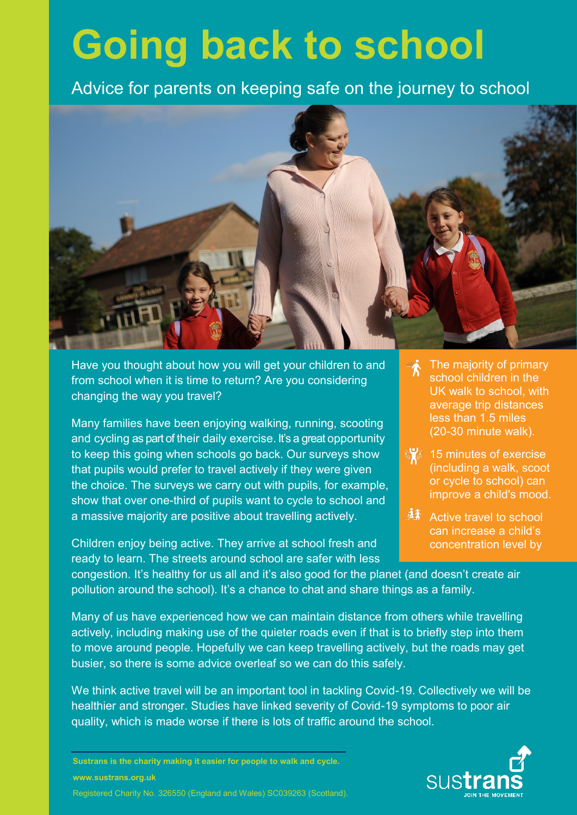## **Going back to school**

Advice for parents on keeping safe on the journey to s Advice for parents on keeping safe on the journey to school



Have you thought about how you will get your children to and  $f_{\text{R}}$  connected when it is time to return? Are veu considering from school when it is time to return? Are you considering changing the way you travel?

Many families have been enjoying walking, running, scooting and cycling as part of their daily exercise. It's a great opportunity to keep this going when schools go back. Our surveys show that pupils would prefer to travel actively if they were given the choice. The surveys we carry out with pupils, for example, show that over one-third of pupils want to cycle to school and a massive majority are positive about travelling actively.

Children enjoy being active. They arrive at school fresh and ready to learn. The streets around school are safer with less

- The majority of primary ₹ school children in the UK walk to school, with average trip distances less than 1.5 miles (20-30 minute walk).
- <sup>12</sup> 15 minutes of exercise (including a walk, scoot or cycle to school) can improve a child's mood.
- 麻杀 Active travel to school can increase a child's concentration level by

congestion. It's healthy for us all and it's also good for the planet (and doesn't create air pollution around the school). It's a chance to chat and share things as a family.

Many of us have experienced how we can maintain distance from others while travelling actively, including making use of the quieter roads even if that is to briefly step into them to move around people. Hopefully we can keep travelling actively, but the roads may get busier, so there is some advice overleaf so we can do this safely.

We think active travel will be an important tool in tackling Covid-19. Collectively we will be healthier and stronger. Studies have linked severity of Covid-19 symptoms to poor air quality, which is made worse if there is lots of traffic around the school.